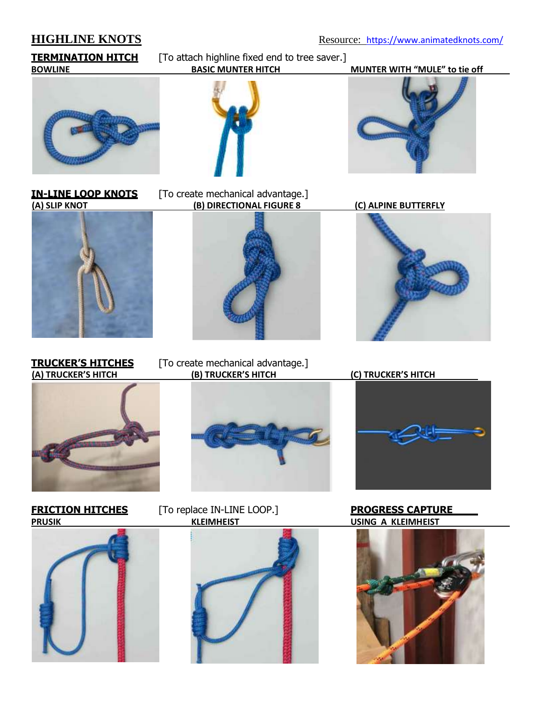**HIGHLINE KNOTS** Resource: <https://www.animatedknots.com/>

**TERMINATION HITCH** [To attach highline fixed end to tree saver.]<br>BOWLINE BASIC MUNTER HITCH **BOWLINE BASIC MUNTER HITCH MUNTER WITH "MULE" to tie off**









**IN-LINE LOOP KNOTS** [To create mechanical advantage.] **(A) SLIP KNOT (B) DIRECTIONAL FIGURE 8 (C) ALPINE BUTTERFLY**



**TRUCKER'S HITCHES** [To create mechanical advantage.]<br>(A) TRUCKER'S HITCH (B) TRUCKER'S HITCH







**FRICTION HITCHES** [To replace IN-LINE LOOP.] **PROGRESS CAPTURE PRUSIK KLEIMHEIST USING A KLEIMHEIST**





**(A) TRUCKER'S HITCH (B) TRUCKER'S HITCH (C) TRUCKER'S HITCH**